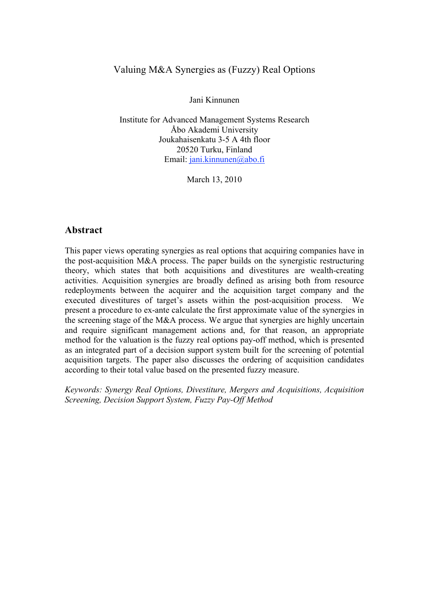### Valuing M&A Synergies as (Fuzzy) Real Options

Jani Kinnunen

Institute for Advanced Management Systems Research Åbo Akademi University Joukahaisenkatu 3-5 A 4th floor 20520 Turku, Finland Email: jani.kinnunen@abo.fi

March 13, 2010

#### **Abstract**

This paper views operating synergies as real options that acquiring companies have in the post-acquisition M&A process. The paper builds on the synergistic restructuring theory, which states that both acquisitions and divestitures are wealth-creating activities. Acquisition synergies are broadly defined as arising both from resource redeployments between the acquirer and the acquisition target company and the executed divestitures of target's assets within the post-acquisition process. We present a procedure to ex-ante calculate the first approximate value of the synergies in the screening stage of the M&A process. We argue that synergies are highly uncertain and require significant management actions and, for that reason, an appropriate method for the valuation is the fuzzy real options pay-off method, which is presented as an integrated part of a decision support system built for the screening of potential acquisition targets. The paper also discusses the ordering of acquisition candidates according to their total value based on the presented fuzzy measure.

*Keywords: Synergy Real Options, Divestiture, Mergers and Acquisitions, Acquisition Screening, Decision Support System, Fuzzy Pay-Off Method*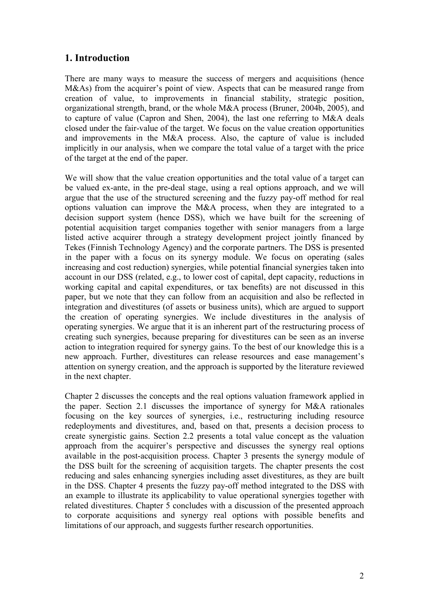# **1. Introduction**

There are many ways to measure the success of mergers and acquisitions (hence M&As) from the acquirer's point of view. Aspects that can be measured range from creation of value, to improvements in financial stability, strategic position, organizational strength, brand, or the whole M&A process (Bruner, 2004b, 2005), and to capture of value (Capron and Shen, 2004), the last one referring to M&A deals closed under the fair-value of the target. We focus on the value creation opportunities and improvements in the M&A process. Also, the capture of value is included implicitly in our analysis, when we compare the total value of a target with the price of the target at the end of the paper.

We will show that the value creation opportunities and the total value of a target can be valued ex-ante, in the pre-deal stage, using a real options approach, and we will argue that the use of the structured screening and the fuzzy pay-off method for real options valuation can improve the M&A process, when they are integrated to a decision support system (hence DSS), which we have built for the screening of potential acquisition target companies together with senior managers from a large listed active acquirer through a strategy development project jointly financed by Tekes (Finnish Technology Agency) and the corporate partners. The DSS is presented in the paper with a focus on its synergy module. We focus on operating (sales increasing and cost reduction) synergies, while potential financial synergies taken into account in our DSS (related, e.g., to lower cost of capital, dept capacity, reductions in working capital and capital expenditures, or tax benefits) are not discussed in this paper, but we note that they can follow from an acquisition and also be reflected in integration and divestitures (of assets or business units), which are argued to support the creation of operating synergies. We include divestitures in the analysis of operating synergies. We argue that it is an inherent part of the restructuring process of creating such synergies, because preparing for divestitures can be seen as an inverse action to integration required for synergy gains. To the best of our knowledge this is a new approach. Further, divestitures can release resources and ease management's attention on synergy creation, and the approach is supported by the literature reviewed in the next chapter.

Chapter 2 discusses the concepts and the real options valuation framework applied in the paper. Section 2.1 discusses the importance of synergy for M&A rationales focusing on the key sources of synergies, i.e., restructuring including resource redeployments and divestitures, and, based on that, presents a decision process to create synergistic gains. Section 2.2 presents a total value concept as the valuation approach from the acquirer's perspective and discusses the synergy real options available in the post-acquisition process. Chapter 3 presents the synergy module of the DSS built for the screening of acquisition targets. The chapter presents the cost reducing and sales enhancing synergies including asset divestitures, as they are built in the DSS. Chapter 4 presents the fuzzy pay-off method integrated to the DSS with an example to illustrate its applicability to value operational synergies together with related divestitures. Chapter 5 concludes with a discussion of the presented approach to corporate acquisitions and synergy real options with possible benefits and limitations of our approach, and suggests further research opportunities.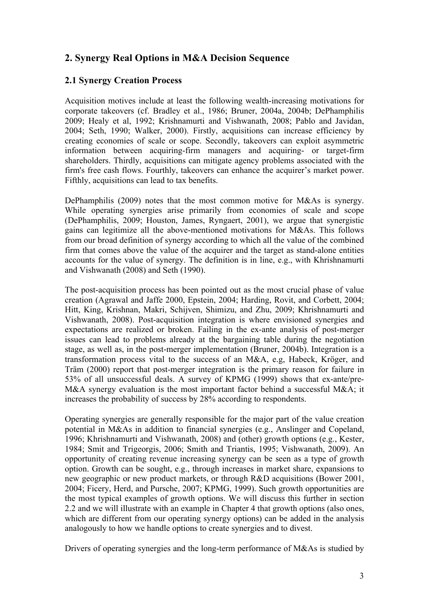# **2. Synergy Real Options in M&A Decision Sequence**

#### **2.1 Synergy Creation Process**

Acquisition motives include at least the following wealth-increasing motivations for corporate takeovers (cf. Bradley et al., 1986; Bruner, 2004a, 2004b; DePhamphilis 2009; Healy et al, 1992; Krishnamurti and Vishwanath, 2008; Pablo and Javidan, 2004; Seth, 1990; Walker, 2000). Firstly, acquisitions can increase efficiency by creating economies of scale or scope. Secondly, takeovers can exploit asymmetric information between acquiring-firm managers and acquiring- or target-firm shareholders. Thirdly, acquisitions can mitigate agency problems associated with the firm's free cash flows. Fourthly, takeovers can enhance the acquirer's market power. Fifthly, acquisitions can lead to tax benefits.

DePhamphilis (2009) notes that the most common motive for M&As is synergy. While operating synergies arise primarily from economies of scale and scope (DePhamphilis, 2009; Houston, James, Ryngaert, 2001), we argue that synergistic gains can legitimize all the above-mentioned motivations for M&As. This follows from our broad definition of synergy according to which all the value of the combined firm that comes above the value of the acquirer and the target as stand-alone entities accounts for the value of synergy. The definition is in line, e.g., with Khrishnamurti and Vishwanath (2008) and Seth (1990).

The post-acquisition process has been pointed out as the most crucial phase of value creation (Agrawal and Jaffe 2000, Epstein, 2004; Harding, Rovit, and Corbett, 2004; Hitt, King, Krishnan, Makri, Schijven, Shimizu, and Zhu, 2009; Khrishnamurti and Vishwanath, 2008). Post-acquisition integration is where envisioned synergies and expectations are realized or broken. Failing in the ex-ante analysis of post-merger issues can lead to problems already at the bargaining table during the negotiation stage, as well as, in the post-merger implementation (Bruner, 2004b). Integration is a transformation process vital to the success of an M&A, e.g, Habeck, Kröger, and Träm (2000) report that post-merger integration is the primary reason for failure in 53% of all unsuccessful deals. A survey of KPMG (1999) shows that ex-ante/pre-M&A synergy evaluation is the most important factor behind a successful M&A; it increases the probability of success by 28% according to respondents.

Operating synergies are generally responsible for the major part of the value creation potential in M&As in addition to financial synergies (e.g., Anslinger and Copeland, 1996; Khrishnamurti and Vishwanath, 2008) and (other) growth options (e.g., Kester, 1984; Smit and Trigeorgis, 2006; Smith and Triantis, 1995; Vishwanath, 2009). An opportunity of creating revenue increasing synergy can be seen as a type of growth option. Growth can be sought, e.g., through increases in market share, expansions to new geographic or new product markets, or through R&D acquisitions (Bower 2001, 2004; Ficery, Herd, and Pursche, 2007; KPMG, 1999). Such growth opportunities are the most typical examples of growth options. We will discuss this further in section 2.2 and we will illustrate with an example in Chapter 4 that growth options (also ones, which are different from our operating synergy options) can be added in the analysis analogously to how we handle options to create synergies and to divest.

Drivers of operating synergies and the long-term performance of M&As is studied by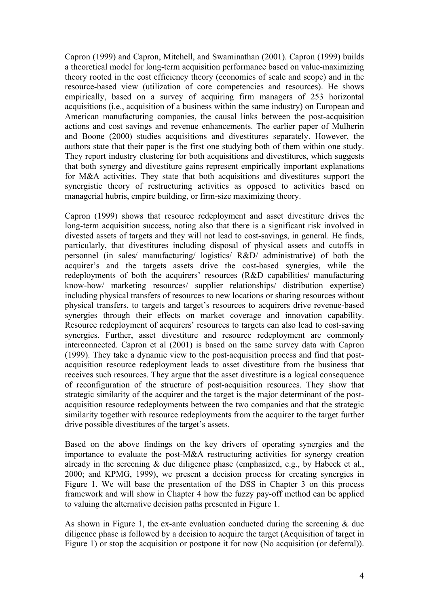Capron (1999) and Capron, Mitchell, and Swaminathan (2001). Capron (1999) builds a theoretical model for long-term acquisition performance based on value-maximizing theory rooted in the cost efficiency theory (economies of scale and scope) and in the resource-based view (utilization of core competencies and resources). He shows empirically, based on a survey of acquiring firm managers of 253 horizontal acquisitions (i.e., acquisition of a business within the same industry) on European and American manufacturing companies, the causal links between the post-acquisition actions and cost savings and revenue enhancements. The earlier paper of Mulherin and Boone (2000) studies acquisitions and divestitures separately. However, the authors state that their paper is the first one studying both of them within one study. They report industry clustering for both acquisitions and divestitures, which suggests that both synergy and divestiture gains represent empirically important explanations for M&A activities. They state that both acquisitions and divestitures support the synergistic theory of restructuring activities as opposed to activities based on managerial hubris, empire building, or firm-size maximizing theory.

Capron (1999) shows that resource redeployment and asset divestiture drives the long-term acquisition success, noting also that there is a significant risk involved in divested assets of targets and they will not lead to cost-savings, in general. He finds, particularly, that divestitures including disposal of physical assets and cutoffs in personnel (in sales/ manufacturing/ logistics/ R&D/ administrative) of both the acquirer's and the targets assets drive the cost-based synergies, while the redeployments of both the acquirers' resources (R&D capabilities/ manufacturing know-how/ marketing resources/ supplier relationships/ distribution expertise) including physical transfers of resources to new locations or sharing resources without physical transfers, to targets and target's resources to acquirers drive revenue-based synergies through their effects on market coverage and innovation capability. Resource redeployment of acquirers' resources to targets can also lead to cost-saving synergies. Further, asset divestiture and resource redeployment are commonly interconnected. Capron et al (2001) is based on the same survey data with Capron (1999). They take a dynamic view to the post-acquisition process and find that postacquisition resource redeployment leads to asset divestiture from the business that receives such resources. They argue that the asset divestiture is a logical consequence of reconfiguration of the structure of post-acquisition resources. They show that strategic similarity of the acquirer and the target is the major determinant of the postacquisition resource redeployments between the two companies and that the strategic similarity together with resource redeployments from the acquirer to the target further drive possible divestitures of the target's assets.

Based on the above findings on the key drivers of operating synergies and the importance to evaluate the post-M&A restructuring activities for synergy creation already in the screening  $\&$  due diligence phase (emphasized, e.g., by Habeck et al., 2000; and KPMG, 1999), we present a decision process for creating synergies in Figure 1. We will base the presentation of the DSS in Chapter 3 on this process framework and will show in Chapter 4 how the fuzzy pay-off method can be applied to valuing the alternative decision paths presented in Figure 1.

As shown in Figure 1, the ex-ante evaluation conducted during the screening & due diligence phase is followed by a decision to acquire the target (Acquisition of target in Figure 1) or stop the acquisition or postpone it for now (No acquisition (or deferral)).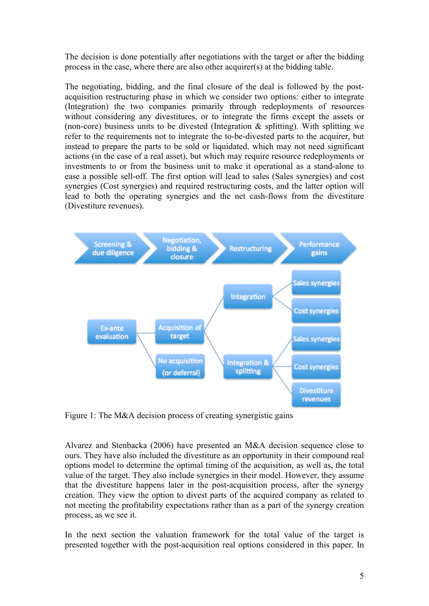The decision is done potentially after negotiations with the target or after the bidding process in the case, where there are also other acquirer(s) at the bidding table.

The negotiating, bidding, and the final closure of the deal is followed by the postacquisition restructuring phase in which we consider two options: either to integrate (Integration) the two companies primarily through redeployments of resources without considering any divestitures, or to integrate the firms except the assets or (non-core) business units to be divested (Integration  $\&$  splitting). With splitting we refer to the requirements not to integrate the to-be-divested parts to the acquirer, but instead to prepare the parts to be sold or liquidated, which may not need significant actions (in the case of a real asset), but which may require resource redeployments or investments to or from the business unit to make it operational as a stand-alone to ease a possible sell-off. The first option will lead to sales (Sales synergies) and cost synergies (Cost synergies) and required restructuring costs, and the latter option will lead to both the operating synergies and the net cash-flows from the divestiture (Divestiture revenues).



Figure 1: The M&A decision process of creating synergistic gains

Alvarez and Stenbacka (2006) have presented an M&A decision sequence close to ours. They have also included the divestiture as an opportunity in their compound real options model to determine the optimal timing of the acquisition, as well as, the total value of the target. They also include synergies in their model. However, they assume that the divestiture happens later in the post-acquisition process, after the synergy creation. They view the option to divest parts of the acquired company as related to not meeting the profitability expectations rather than as a part of the synergy creation process, as we see it.

In the next section the valuation framework for the total value of the target is presented together with the post-acquisition real options considered in this paper. In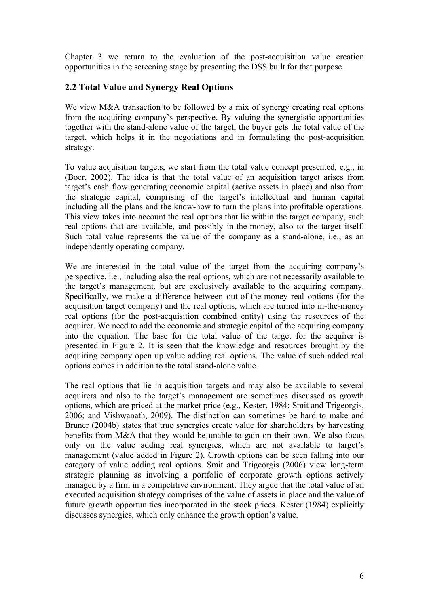Chapter 3 we return to the evaluation of the post-acquisition value creation opportunities in the screening stage by presenting the DSS built for that purpose.

### **2.2 Total Value and Synergy Real Options**

We view M&A transaction to be followed by a mix of synergy creating real options from the acquiring company's perspective. By valuing the synergistic opportunities together with the stand-alone value of the target, the buyer gets the total value of the target, which helps it in the negotiations and in formulating the post-acquisition strategy.

To value acquisition targets, we start from the total value concept presented, e.g., in (Boer, 2002). The idea is that the total value of an acquisition target arises from target's cash flow generating economic capital (active assets in place) and also from the strategic capital, comprising of the target's intellectual and human capital including all the plans and the know-how to turn the plans into profitable operations. This view takes into account the real options that lie within the target company, such real options that are available, and possibly in-the-money, also to the target itself. Such total value represents the value of the company as a stand-alone, i.e., as an independently operating company.

We are interested in the total value of the target from the acquiring company's perspective, i.e., including also the real options, which are not necessarily available to the target's management, but are exclusively available to the acquiring company. Specifically, we make a difference between out-of-the-money real options (for the acquisition target company) and the real options, which are turned into in-the-money real options (for the post-acquisition combined entity) using the resources of the acquirer. We need to add the economic and strategic capital of the acquiring company into the equation. The base for the total value of the target for the acquirer is presented in Figure 2. It is seen that the knowledge and resources brought by the acquiring company open up value adding real options. The value of such added real options comes in addition to the total stand-alone value.

The real options that lie in acquisition targets and may also be available to several acquirers and also to the target's management are sometimes discussed as growth options, which are priced at the market price (e.g., Kester, 1984; Smit and Trigeorgis, 2006; and Vishwanath, 2009). The distinction can sometimes be hard to make and Bruner (2004b) states that true synergies create value for shareholders by harvesting benefits from M&A that they would be unable to gain on their own. We also focus only on the value adding real synergies, which are not available to target's management (value added in Figure 2). Growth options can be seen falling into our category of value adding real options. Smit and Trigeorgis (2006) view long-term strategic planning as involving a portfolio of corporate growth options actively managed by a firm in a competitive environment. They argue that the total value of an executed acquisition strategy comprises of the value of assets in place and the value of future growth opportunities incorporated in the stock prices. Kester (1984) explicitly discusses synergies, which only enhance the growth option's value.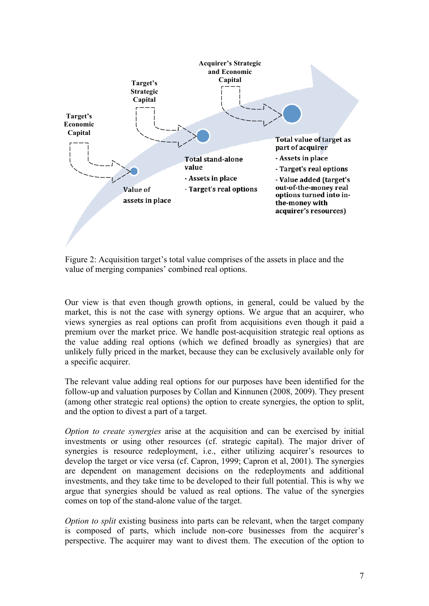

Figure 2: Acquisition target's total value comprises of the assets in place and the value of merging companies' combined real options.

Our view is that even though growth options, in general, could be valued by the market, this is not the case with synergy options. We argue that an acquirer, who views synergies as real options can profit from acquisitions even though it paid a premium over the market price. We handle post-acquisition strategic real options as the value adding real options (which we defined broadly as synergies) that are unlikely fully priced in the market, because they can be exclusively available only for a specific acquirer.

The relevant value adding real options for our purposes have been identified for the follow-up and valuation purposes by Collan and Kinnunen (2008, 2009). They present (among other strategic real options) the option to create synergies, the option to split, and the option to divest a part of a target.

*Option to create synergies* arise at the acquisition and can be exercised by initial investments or using other resources (cf. strategic capital). The major driver of synergies is resource redeployment, i.e., either utilizing acquirer's resources to develop the target or vice versa (cf. Capron, 1999; Capron et al, 2001). The synergies are dependent on management decisions on the redeployments and additional investments, and they take time to be developed to their full potential. This is why we argue that synergies should be valued as real options. The value of the synergies comes on top of the stand-alone value of the target.

*Option to split* existing business into parts can be relevant, when the target company is composed of parts, which include non-core businesses from the acquirer's perspective. The acquirer may want to divest them. The execution of the option to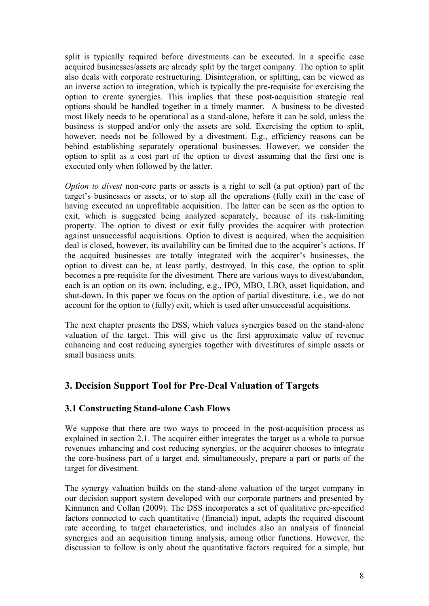split is typically required before divestments can be executed. In a specific case acquired businesses/assets are already split by the target company. The option to split also deals with corporate restructuring. Disintegration, or splitting, can be viewed as an inverse action to integration, which is typically the pre-requisite for exercising the option to create synergies. This implies that these post-acquisition strategic real options should be handled together in a timely manner. A business to be divested most likely needs to be operational as a stand-alone, before it can be sold, unless the business is stopped and/or only the assets are sold. Exercising the option to split, however, needs not be followed by a divestment. E.g., efficiency reasons can be behind establishing separately operational businesses. However, we consider the option to split as a cost part of the option to divest assuming that the first one is executed only when followed by the latter.

*Option to divest* non-core parts or assets is a right to sell (a put option) part of the target's businesses or assets, or to stop all the operations (fully exit) in the case of having executed an unprofitable acquisition. The latter can be seen as the option to exit, which is suggested being analyzed separately, because of its risk-limiting property. The option to divest or exit fully provides the acquirer with protection against unsuccessful acquisitions. Option to divest is acquired, when the acquisition deal is closed, however, its availability can be limited due to the acquirer's actions. If the acquired businesses are totally integrated with the acquirer's businesses, the option to divest can be, at least partly, destroyed. In this case, the option to split becomes a pre-requisite for the divestment. There are various ways to divest/abandon, each is an option on its own, including, e.g., IPO, MBO, LBO, asset liquidation, and shut-down. In this paper we focus on the option of partial divestiture, i.e., we do not account for the option to (fully) exit, which is used after unsuccessful acquisitions.

The next chapter presents the DSS, which values synergies based on the stand-alone valuation of the target. This will give us the first approximate value of revenue enhancing and cost reducing synergies together with divestitures of simple assets or small business units.

# **3. Decision Support Tool for Pre-Deal Valuation of Targets**

#### **3.1 Constructing Stand-alone Cash Flows**

We suppose that there are two ways to proceed in the post-acquisition process as explained in section 2.1. The acquirer either integrates the target as a whole to pursue revenues enhancing and cost reducing synergies, or the acquirer chooses to integrate the core-business part of a target and, simultaneously, prepare a part or parts of the target for divestment.

The synergy valuation builds on the stand-alone valuation of the target company in our decision support system developed with our corporate partners and presented by Kinnunen and Collan (2009). The DSS incorporates a set of qualitative pre-specified factors connected to each quantitative (financial) input, adapts the required discount rate according to target characteristics, and includes also an analysis of financial synergies and an acquisition timing analysis, among other functions. However, the discussion to follow is only about the quantitative factors required for a simple, but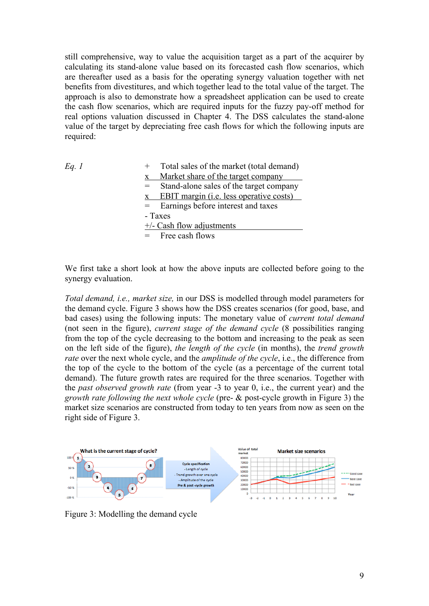still comprehensive, way to value the acquisition target as a part of the acquirer by calculating its stand-alone value based on its forecasted cash flow scenarios, which are thereafter used as a basis for the operating synergy valuation together with net benefits from divestitures, and which together lead to the total value of the target. The approach is also to demonstrate how a spreadsheet application can be used to create the cash flow scenarios, which are required inputs for the fuzzy pay-off method for real options valuation discussed in Chapter 4. The DSS calculates the stand-alone value of the target by depreciating free cash flows for which the following inputs are required:

| Eq. 1 | Total sales of the market (total demand)        |
|-------|-------------------------------------------------|
|       | Market share of the target company              |
|       | Stand-alone sales of the target company<br>$=$  |
|       | EBIT margin ( <i>i.e.</i> less operative costs) |
|       | = Earnings before interest and taxes            |
|       | - Taxes                                         |
|       | $+/-$ Cash flow adjustments                     |
|       | $=$ Free cash flows                             |

We first take a short look at how the above inputs are collected before going to the synergy evaluation.

*Total demand, i.e., market size,* in our DSS is modelled through model parameters for the demand cycle. Figure 3 shows how the DSS creates scenarios (for good, base, and bad cases) using the following inputs: The monetary value of *current total demand*  (not seen in the figure), *current stage of the demand cycle* (8 possibilities ranging from the top of the cycle decreasing to the bottom and increasing to the peak as seen on the left side of the figure), *the length of the cycle* (in months), the *trend growth rate* over the next whole cycle, and the *amplitude of the cycle*, i.e., the difference from the top of the cycle to the bottom of the cycle (as a percentage of the current total demand). The future growth rates are required for the three scenarios. Together with the *past observed growth rate* (from year -3 to year 0, i.e., the current year) and the *growth rate following the next whole cycle* (pre- & post-cycle growth in Figure 3) the market size scenarios are constructed from today to ten years from now as seen on the right side of Figure 3.



Figure 3: Modelling the demand cycle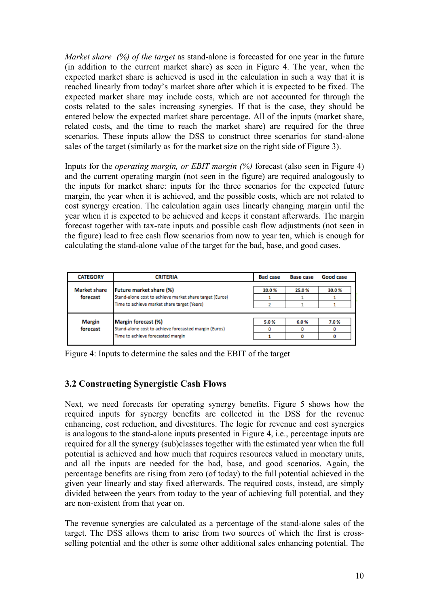*Market share (%) of the target* as stand-alone is forecasted for one year in the future (in addition to the current market share) as seen in Figure 4. The year, when the expected market share is achieved is used in the calculation in such a way that it is reached linearly from today's market share after which it is expected to be fixed. The expected market share may include costs, which are not accounted for through the costs related to the sales increasing synergies. If that is the case, they should be entered below the expected market share percentage. All of the inputs (market share, related costs, and the time to reach the market share) are required for the three scenarios. These inputs allow the DSS to construct three scenarios for stand-alone sales of the target (similarly as for the market size on the right side of Figure 3).

Inputs for the *operating margin, or EBIT margin (%)* forecast (also seen in Figure 4) and the current operating margin (not seen in the figure) are required analogously to the inputs for market share: inputs for the three scenarios for the expected future margin, the year when it is achieved, and the possible costs, which are not related to cost synergy creation. The calculation again uses linearly changing margin until the year when it is expected to be achieved and keeps it constant afterwards. The margin forecast together with tax-rate inputs and possible cash flow adjustments (not seen in the figure) lead to free cash flow scenarios from now to year ten, which is enough for calculating the stand-alone value of the target for the bad, base, and good cases.

| <b>CATEGORY</b>                 | <b>CRITERIA</b>                                                                                                                          | <b>Bad case</b> | <b>Base case</b> | Good case |
|---------------------------------|------------------------------------------------------------------------------------------------------------------------------------------|-----------------|------------------|-----------|
| <b>Market share</b><br>forecast | <b>Future market share (%)</b><br>Stand-alone cost to achieve market share target (Euros)<br>Time to achieve market share target (Years) | 20.0%           | 25.0%            | 30.0%     |
| <b>Margin</b><br>forecast       | Margin forecast (%)<br>Stand-alone cost to achieve forecasted margin (Euros)<br>Time to achieve forecasted margin                        | 5.0%<br>٥       | 6.0%             | 7.0%      |

Figure 4: Inputs to determine the sales and the EBIT of the target

### **3.2 Constructing Synergistic Cash Flows**

Next, we need forecasts for operating synergy benefits. Figure 5 shows how the required inputs for synergy benefits are collected in the DSS for the revenue enhancing, cost reduction, and divestitures. The logic for revenue and cost synergies is analogous to the stand-alone inputs presented in Figure 4, i.e., percentage inputs are required for all the synergy (sub)classes together with the estimated year when the full potential is achieved and how much that requires resources valued in monetary units, and all the inputs are needed for the bad, base, and good scenarios. Again, the percentage benefits are rising from zero (of today) to the full potential achieved in the given year linearly and stay fixed afterwards. The required costs, instead, are simply divided between the years from today to the year of achieving full potential, and they are non-existent from that year on.

The revenue synergies are calculated as a percentage of the stand-alone sales of the target. The DSS allows them to arise from two sources of which the first is crossselling potential and the other is some other additional sales enhancing potential. The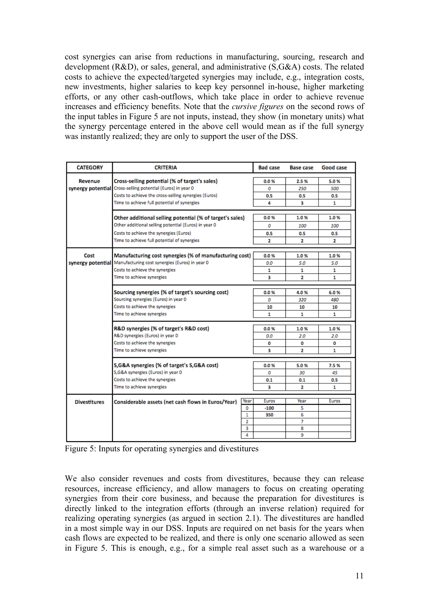cost synergies can arise from reductions in manufacturing, sourcing, research and development (R&D), or sales, general, and administrative (S,G&A) costs. The related costs to achieve the expected/targeted synergies may include, e.g., integration costs, new investments, higher salaries to keep key personnel in-house, higher marketing efforts, or any other cash-outflows, which take place in order to achieve revenue increases and efficiency benefits. Note that the *cursive figures* on the second rows of the input tables in Figure 5 are not inputs, instead, they show (in monetary units) what the synergy percentage entered in the above cell would mean as if the full synergy was instantly realized; they are only to support the user of the DSS.

| <b>CATEGORY</b>     | <b>CRITERIA</b>                                            | <b>Bad case</b> | <b>Base case</b> | Good case |  |  |  |
|---------------------|------------------------------------------------------------|-----------------|------------------|-----------|--|--|--|
| Revenue             | Cross-selling potential (% of target's sales)              | 0.0%            | 2.5%             | 5.0%      |  |  |  |
| synergy potential   | Cross-selling potential (Euros) in year 0                  | o               | 250              | 500       |  |  |  |
|                     | Costs to achieve the cross-selling synergies (Euros)       | 0.5             | 0.5              | 0.5       |  |  |  |
|                     | Time to achieve full potential of synergies                | 4               | 3                | 1         |  |  |  |
|                     | Other additional selling potential (% of target's sales)   | 0.0%            | 1.0%             | 1.0%      |  |  |  |
|                     | Other additional selling potential (Euros) in year 0       | 0               | 100              | 100       |  |  |  |
|                     | Costs to achieve the synergies (Euros)                     | 0.5             | 0.5              | 0.5       |  |  |  |
|                     | Time to achieve full potential of synergies                | 2               | 2                | 2         |  |  |  |
| Cost                | Manufacturing cost synergies (% of manufacturing cost)     | 0.0%            | 1.0%             | 1.0%      |  |  |  |
| synergy potential   | Manufacturing cost synergies (Euros) in year 0             | 0.0             | 5.0              | 5.0       |  |  |  |
|                     | Costs to achieve the synergies                             | 1               | 1                | 1         |  |  |  |
|                     | Time to achieve synergies                                  | з               | 2                | 1         |  |  |  |
|                     |                                                            |                 |                  |           |  |  |  |
|                     | Sourcing synergies (% of target's sourcing cost)           | 0.0%            | 4.0%             | 6.0%      |  |  |  |
|                     | Sourcing synergies (Euros) in year 0                       | 0               | 320              | 480       |  |  |  |
|                     | Costs to achieve the synergies                             | 10              | 10               | 10        |  |  |  |
|                     | Time to achieve synergies                                  | 1               | 1                | 1         |  |  |  |
|                     | R&D synergies (% of target's R&D cost)                     | 0.0%            | 1.0%             | 1.0%      |  |  |  |
|                     | R&D synergies (Euros) in year 0                            | 0.0             | 2.0              | 2.0       |  |  |  |
|                     | Costs to achieve the synergies                             | 0               | O                | 0         |  |  |  |
|                     | Time to achieve synergies                                  | а               | 2<br>1           |           |  |  |  |
|                     | S, G&A synergies (% of target's S, G&A cost)               | 0.0%            | 5.0%             | 7.5 %     |  |  |  |
|                     | S, G&A synergies (Euros) in year 0                         | 0               | 30               | 45        |  |  |  |
|                     | Costs to achieve the synergies                             | 0.1             | 0.1              | 0.5       |  |  |  |
|                     | Time to achieve synergies                                  | з               | 2                | 1         |  |  |  |
| <b>Divestitures</b> | Year<br>Considerable assets (net cash flows in Euros/Year) | Euros           | Year             | Euros     |  |  |  |
|                     | 0                                                          | -100            | 5                |           |  |  |  |
|                     | 1                                                          | 350             | 6                |           |  |  |  |
|                     | 2                                                          |                 | 7                |           |  |  |  |
|                     | з                                                          |                 | 8                |           |  |  |  |
|                     | 4                                                          |                 | 9                |           |  |  |  |

|  |  |  | Figure 5: Inputs for operating synergies and divestitures |
|--|--|--|-----------------------------------------------------------|
|  |  |  |                                                           |

We also consider revenues and costs from divestitures, because they can release resources, increase efficiency, and allow managers to focus on creating operating synergies from their core business, and because the preparation for divestitures is directly linked to the integration efforts (through an inverse relation) required for realizing operating synergies (as argued in section 2.1). The divestitures are handled in a most simple way in our DSS. Inputs are required on net basis for the years when cash flows are expected to be realized, and there is only one scenario allowed as seen in Figure 5. This is enough, e.g., for a simple real asset such as a warehouse or a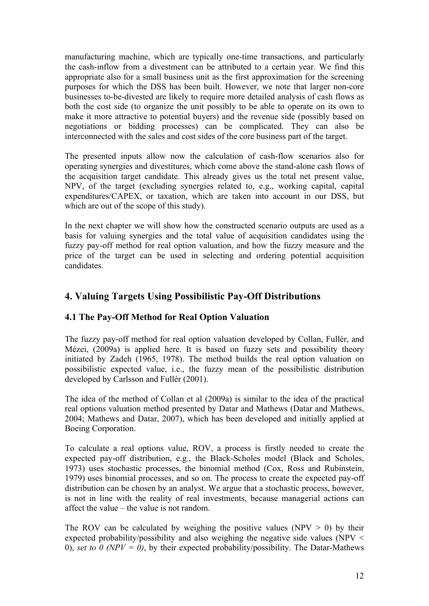manufacturing machine, which are typically one-time transactions, and particularly the cash-inflow from a divestment can be attributed to a certain year. We find this appropriate also for a small business unit as the first approximation for the screening purposes for which the DSS has been built. However, we note that larger non-core businesses to-be-divested are likely to require more detailed analysis of cash flows as both the cost side (to organize the unit possibly to be able to operate on its own to make it more attractive to potential buyers) and the revenue side (possibly based on negotiations or bidding processes) can be complicated. They can also be interconnected with the sales and cost sides of the core business part of the target.

The presented inputs allow now the calculation of cash-flow scenarios also for operating synergies and divestitures, which come above the stand-alone cash flows of the acquisition target candidate. This already gives us the total net present value, NPV, of the target (excluding synergies related to, e.g., working capital, capital expenditures/CAPEX, or taxation, which are taken into account in our DSS, but which are out of the scope of this study).

In the next chapter we will show how the constructed scenario outputs are used as a basis for valuing synergies and the total value of acquisition candidates using the fuzzy pay-off method for real option valuation, and how the fuzzy measure and the price of the target can be used in selecting and ordering potential acquisition candidates.

# **4. Valuing Targets Using Possibilistic Pay-Off Distributions**

### **4.1 The Pay-Off Method for Real Option Valuation**

The fuzzy pay-off method for real option valuation developed by Collan, Fullér, and Mézei, (2009a) is applied here. It is based on fuzzy sets and possibility theory initiated by Zadeh (1965, 1978). The method builds the real option valuation on possibilistic expected value, i.e., the fuzzy mean of the possibilistic distribution developed by Carlsson and Fullér (2001).

The idea of the method of Collan et al (2009a) is similar to the idea of the practical real options valuation method presented by Datar and Mathews (Datar and Mathews, 2004; Mathews and Datar, 2007), which has been developed and initially applied at Boeing Corporation.

To calculate a real options value, ROV, a process is firstly needed to create the expected pay-off distribution, e.g., the Black-Scholes model (Black and Scholes, 1973) uses stochastic processes, the binomial method (Cox, Ross and Rubinstein, 1979) uses binomial processes, and so on. The process to create the expected pay-off distribution can be chosen by an analyst. We argue that a stochastic process, however, is not in line with the reality of real investments, because managerial actions can affect the value – the value is not random.

The ROV can be calculated by weighing the positive values (NPV  $>$  0) by their expected probability/possibility and also weighing the negative side values (NPV < 0), *set to 0 (NPV = 0)*, by their expected probability/possibility. The Datar-Mathews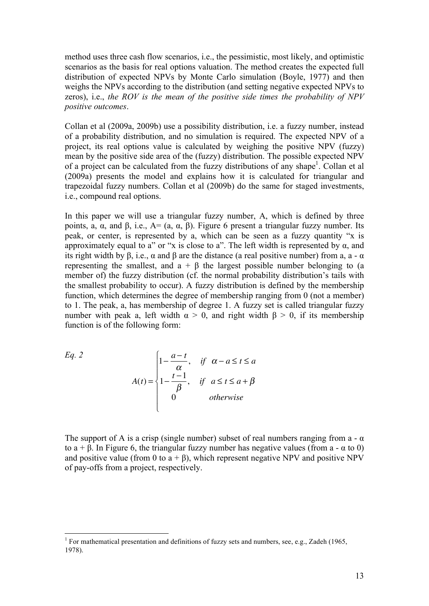method uses three cash flow scenarios, i.e., the pessimistic, most likely, and optimistic scenarios as the basis for real options valuation. The method creates the expected full distribution of expected NPVs by Monte Carlo simulation (Boyle, 1977) and then weighs the NPVs according to the distribution (and setting negative expected NPVs to zeros), i.e., *the ROV is the mean of the positive side times the probability of NPV positive outcomes*.

Collan et al (2009a, 2009b) use a possibility distribution, i.e. a fuzzy number, instead of a probability distribution, and no simulation is required. The expected NPV of a project, its real options value is calculated by weighing the positive NPV (fuzzy) mean by the positive side area of the (fuzzy) distribution. The possible expected NPV of a project can be calculated from the fuzzy distributions of any shape<sup>1</sup>. Collan et al (2009a) presents the model and explains how it is calculated for triangular and trapezoidal fuzzy numbers. Collan et al (2009b) do the same for staged investments, i.e., compound real options.

In this paper we will use a triangular fuzzy number, A, which is defined by three points, a, α, and β, i.e., A= (a, α, β). Figure 6 present a triangular fuzzy number. Its peak, or center, is represented by a, which can be seen as a fuzzy quantity "x is approximately equal to a" or "x is close to a". The left width is represented by  $\alpha$ , and its right width by β, i.e.,  $\alpha$  and β are the distance (a real positive number) from a, a -  $\alpha$ representing the smallest, and  $a + \beta$  the largest possible number belonging to (a member of) the fuzzy distribution (cf. the normal probability distribution's tails with the smallest probability to occur). A fuzzy distribution is defined by the membership function, which determines the degree of membership ranging from 0 (not a member) to 1. The peak, a, has membership of degree 1. A fuzzy set is called triangular fuzzy number with peak a, left width  $\alpha > 0$ , and right width  $\beta > 0$ , if its membership function is of the following form:

Eq. 2  

$$
A(t) = \begin{cases} 1 - \frac{a - t}{\alpha}, & \text{if } \alpha - a \le t \le a \\ 1 - \frac{t - 1}{\beta}, & \text{if } a \le t \le a + \beta \\ 0 & \text{otherwise} \end{cases}
$$

to  $a + \beta$ . In Figure 6, the triangular fuzzy number has negative values (from a - α to 0) The support of A is a crisp (single number) subset of real numbers ranging from a -  $\alpha$ and positive value (from 0 to  $a + \beta$ ), which represent negative NPV and positive NPV of pay-offs from a project, respectively.

<sup>&</sup>lt;sup>1</sup> For mathematical presentation and definitions of fuzzy sets and numbers, see, e.g., Zadeh (1965, 1978).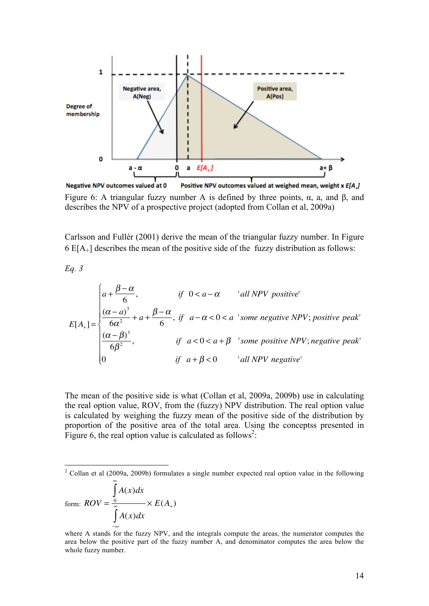

Figure 6: A triangular fuzzy number A is defined by three points,  $\alpha$ , a, and  $\beta$ , and describes the NPV of a prospective project (adopted from Collan et al, 2009a)

Carlsson and Fullér (2001) derive the mean of the triangular fuzzy number. In Figure 6 E[A+] describes the mean of the positive side of the fuzzy distribution as follows:

*Eq. 3*

$$
E[A_{+}] = \begin{cases} a + \frac{\beta - \alpha}{6}, & \text{if } 0 < a - \alpha \quad \text{'all NPV positive'}\\ \frac{(\alpha - a)^{3}}{6\alpha^{2}} + a + \frac{\beta - \alpha}{6}, & \text{if } a - \alpha < 0 < a \text{'some negative NPV; positive peak'}\\ \frac{(\alpha - \beta)^{3}}{6\beta^{2}}, & \text{if } a < 0 < a + \beta \quad \text{'some positive NPV; negative peak'}\\ 0 & \text{if } a + \beta < 0 \quad \text{'all NPV negative'} \end{cases}
$$

The mean of the positive side is what (Collan et al, 2009a, 2009b) use in calculating the real option value, ROV, from the (fuzzy) NPV distribution. The real option value is calculated by weighing the fuzzy mean of the positive side of the distribution by proportion of the positive area of the total area. Using the conceptss presented in Figure 6, the real option value is calculated as follows<sup>2</sup>:

form: 
$$
ROV = \frac{\int_{0}^{\infty} A(x)dx}{\int_{-\infty}^{\infty} A(x)dx} \times E(A_+)
$$

where A stands for the fuzzy NPV, and the integrals compute the areas, the numerator computes the area below the positive part of the fuzzy number A, and denominator computes the area below the whole fuzzy number.

 $\frac{1}{2}$ <sup>2</sup> Collan et al (2009a, 2009b) formulates a single number expected real option value in the following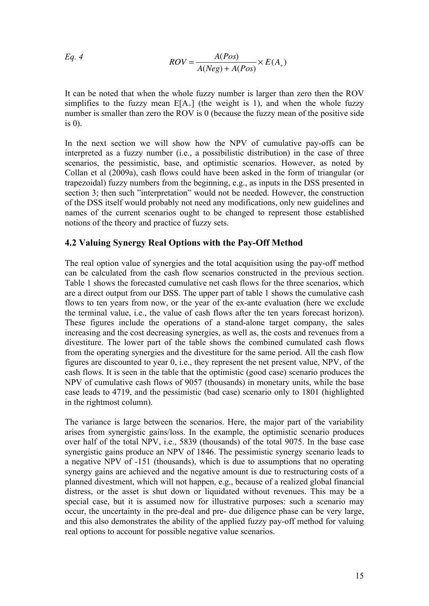Eq. 4 
$$
ROV = \frac{A(Pos)}{A(Neg) + A(Pos)} \times E(A_+)
$$

simplifies to the fuzzy mean  $E[A_+]$  (the weight is 1), and when the whole fuzzy It can be noted that when the whole fuzzy number is larger than zero then the ROV number is smaller than zero the ROV is 0 (because the fuzzy mean of the positive side is 0).

In the next section we will show how the NPV of cumulative pay-offs can be interpreted as a fuzzy number (i.e., a possibilistic distribution) in the case of three scenarios, the pessimistic, base, and optimistic scenarios. However, as noted by Collan et al (2009a), cash flows could have been asked in the form of triangular (or trapezoidal) fuzzy numbers from the beginning, e.g., as inputs in the DSS presented in section 3; then such "interpretation" would not be needed. However, the construction of the DSS itself would probably not need any modifications, only new guidelines and names of the current scenarios ought to be changed to represent those established notions of the theory and practice of fuzzy sets.

#### **4.2 Valuing Synergy Real Options with the Pay-Off Method**

The real option value of synergies and the total acquisition using the pay-off method can be calculated from the cash flow scenarios constructed in the previous section. Table 1 shows the forecasted cumulative net cash flows for the three scenarios, which are a direct output from our DSS. The upper part of table 1 shows the cumulative cash flows to ten years from now, or the year of the ex-ante evaluation (here we exclude the terminal value, i.e., the value of cash flows after the ten years forecast horizon). These figures include the operations of a stand-alone target company, the sales increasing and the cost decreasing synergies, as well as, the costs and revenues from a divestiture. The lower part of the table shows the combined cumulated cash flows from the operating synergies and the divestiture for the same period. All the cash flow figures are discounted to year 0, i.e., they represent the net present value, NPV, of the cash flows. It is seen in the table that the optimistic (good case) scenario produces the NPV of cumulative cash flows of 9057 (thousands) in monetary units, while the base case leads to 4719, and the pessimistic (bad case) scenario only to 1801 (highlighted in the rightmost column).

The variance is large between the scenarios. Here, the major part of the variability arises from synergistic gains/loss. In the example, the optimistic scenario produces over half of the total NPV, i.e., 5839 (thousands) of the total 9075. In the base case synergistic gains produce an NPV of 1846. The pessimistic synergy scenario leads to a negative NPV of -151 (thousands), which is due to assumptions that no operating synergy gains are achieved and the negative amount is due to restructuring costs of a planned divestment, which will not happen, e.g., because of a realized global financial distress, or the asset is shut down or liquidated without revenues. This may be a special case, but it is assumed now for illustrative purposes: such a scenario may occur, the uncertainty in the pre-deal and pre- due diligence phase can be very large, and this also demonstrates the ability of the applied fuzzy pay-off method for valuing real options to account for possible negative value scenarios.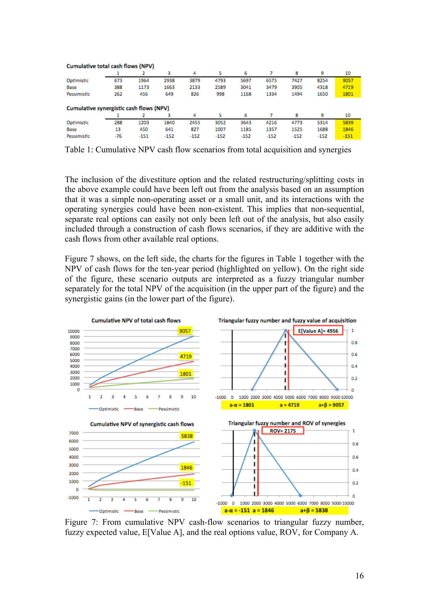| Cumulative total cash flows (NPV)       |     |        |        |        |        |        |        |        |        |        |
|-----------------------------------------|-----|--------|--------|--------|--------|--------|--------|--------|--------|--------|
|                                         |     |        | з      | 4      |        | 6      |        | 8      | 9      | 10     |
| Optimistic                              | 673 | 1964   | 2938   | 3879   | 4793   | 5697   | 6575   | 7427   | 8254   | 9057   |
| Base                                    | 388 | 1173   | 1663   | 2133   | 2589   | 3041   | 3479   | 3905   | 4318   | 4719   |
| Pessimistic                             | 262 | 456    | 649    | 826    | 998    | 1168   | 1334   | 1494   | 1650   | 1801   |
| Cumulative synergistic cash flows (NPV) |     |        |        |        |        |        |        |        |        |        |
|                                         |     |        |        | 4      |        | 6      |        | 8      | 9      | 10     |
| Optimistic                              | 288 | 1203   | 1840   | 2455   | 3052   | 3643   | 4216   | 4773   | 5314   | 5839   |
| Base                                    | 13  | 450    | 641    | 827    | 1007   | 1185   | 1357   | 1525   | 1688   | 1846   |
| Pessimistic                             | -76 | $-151$ | $-152$ | $-152$ | $-152$ | $-152$ | $-152$ | $-152$ | $-152$ | $-151$ |

Table 1: Cumulative NPV cash flow scenarios from total acquisition and synergies

The inclusion of the divestiture option and the related restructuring/splitting costs in the above example could have been left out from the analysis based on an assumption that it was a simple non-operating asset or a small unit, and its interactions with the operating synergies could have been non-existent. This implies that non-sequential, separate real options can easily not only been left out of the analysis, but also easily included through a construction of cash flows scenarios, if they are additive with the cash flows from other available real options.

Figure 7 shows, on the left side, the charts for the figures in Table 1 together with the NPV of cash flows for the ten-year period (highlighted on yellow). On the right side of the figure, these scenario outputs are interpreted as a fuzzy triangular number separately for the total NPV of the acquisition (in the upper part of the figure) and the synergistic gains (in the lower part of the figure).



Figure 7: From cumulative NPV cash-flow scenarios to triangular fuzzy number, fuzzy expected value, E[Value A], and the real options value, ROV, for Company A.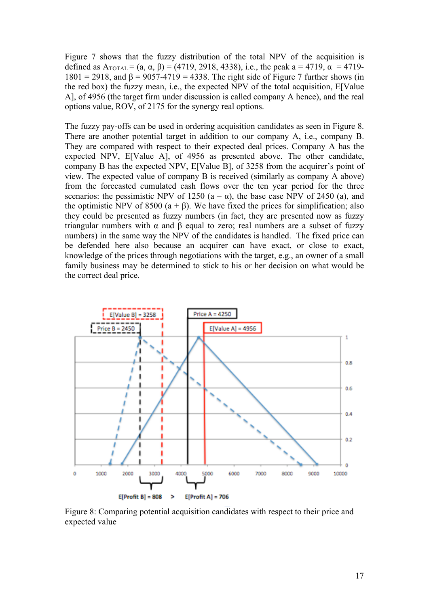Figure 7 shows that the fuzzy distribution of the total NPV of the acquisition is defined as  $A_{\text{TOTAL}} = (a, \alpha, \beta) = (4719, 2918, 4338),$  i.e., the peak a = 4719,  $\alpha$  = 4719- $1801 = 2918$ , and  $\beta = 9057-4719 = 4338$ . The right side of Figure 7 further shows (in the red box) the fuzzy mean, i.e., the expected NPV of the total acquisition, E[Value A], of 4956 (the target firm under discussion is called company A hence), and the real options value, ROV, of 2175 for the synergy real options.

The fuzzy pay-offs can be used in ordering acquisition candidates as seen in Figure 8. There are another potential target in addition to our company A, i.e., company B. They are compared with respect to their expected deal prices. Company A has the expected NPV, E[Value A], of 4956 as presented above. The other candidate, company B has the expected NPV, E[Value B], of 3258 from the acquirer's point of view. The expected value of company B is received (similarly as company A above) from the forecasted cumulated cash flows over the ten year period for the three scenarios: the pessimistic NPV of 1250  $(a - \alpha)$ , the base case NPV of 2450  $(a)$ , and the optimistic NPV of 8500 ( $a + \beta$ ). We have fixed the prices for simplification; also they could be presented as fuzzy numbers (in fact, they are presented now as fuzzy triangular numbers with  $\alpha$  and  $\beta$  equal to zero; real numbers are a subset of fuzzy numbers) in the same way the NPV of the candidates is handled. The fixed price can be defended here also because an acquirer can have exact, or close to exact, knowledge of the prices through negotiations with the target, e.g., an owner of a small family business may be determined to stick to his or her decision on what would be the correct deal price.



Figure 8: Comparing potential acquisition candidates with respect to their price and expected value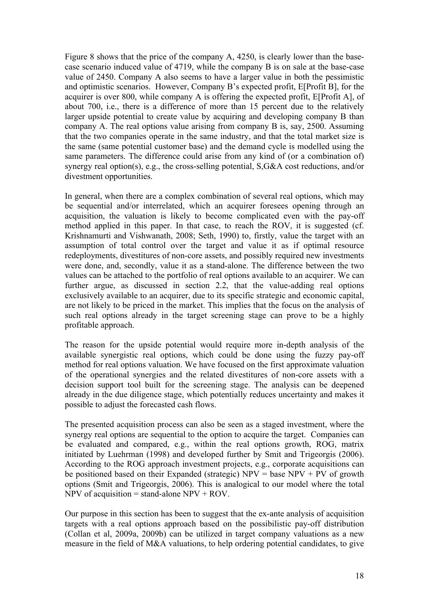Figure 8 shows that the price of the company A, 4250, is clearly lower than the basecase scenario induced value of 4719, while the company B is on sale at the base-case value of 2450. Company A also seems to have a larger value in both the pessimistic and optimistic scenarios. However, Company B's expected profit, E[Profit B], for the acquirer is over 800, while company A is offering the expected profit, E[Profit A], of about 700, i.e., there is a difference of more than 15 percent due to the relatively larger upside potential to create value by acquiring and developing company B than company A. The real options value arising from company B is, say, 2500. Assuming that the two companies operate in the same industry, and that the total market size is the same (same potential customer base) and the demand cycle is modelled using the same parameters. The difference could arise from any kind of (or a combination of) synergy real option(s), e.g., the cross-selling potential, S,G&A cost reductions, and/or divestment opportunities.

In general, when there are a complex combination of several real options, which may be sequential and/or interrelated, which an acquirer foresees opening through an acquisition, the valuation is likely to become complicated even with the pay-off method applied in this paper. In that case, to reach the ROV, it is suggested (cf. Krishnamurti and Vishwanath, 2008; Seth, 1990) to, firstly, value the target with an assumption of total control over the target and value it as if optimal resource redeployments, divestitures of non-core assets, and possibly required new investments were done, and, secondly, value it as a stand-alone. The difference between the two values can be attached to the portfolio of real options available to an acquirer. We can further argue, as discussed in section 2.2, that the value-adding real options exclusively available to an acquirer, due to its specific strategic and economic capital, are not likely to be priced in the market. This implies that the focus on the analysis of such real options already in the target screening stage can prove to be a highly profitable approach.

The reason for the upside potential would require more in-depth analysis of the available synergistic real options, which could be done using the fuzzy pay-off method for real options valuation. We have focused on the first approximate valuation of the operational synergies and the related divestitures of non-core assets with a decision support tool built for the screening stage. The analysis can be deepened already in the due diligence stage, which potentially reduces uncertainty and makes it possible to adjust the forecasted cash flows.

The presented acquisition process can also be seen as a staged investment, where the synergy real options are sequential to the option to acquire the target. Companies can be evaluated and compared, e.g., within the real options growth, ROG, matrix initiated by Luehrman (1998) and developed further by Smit and Trigeorgis (2006). According to the ROG approach investment projects, e.g., corporate acquisitions can be positioned based on their Expanded (strategic)  $NPV = base NPV + PV$  of growth options (Smit and Trigeorgis, 2006). This is analogical to our model where the total NPV of acquisition = stand-alone  $NPV + ROV$ .

Our purpose in this section has been to suggest that the ex-ante analysis of acquisition targets with a real options approach based on the possibilistic pay-off distribution (Collan et al, 2009a, 2009b) can be utilized in target company valuations as a new measure in the field of M&A valuations, to help ordering potential candidates, to give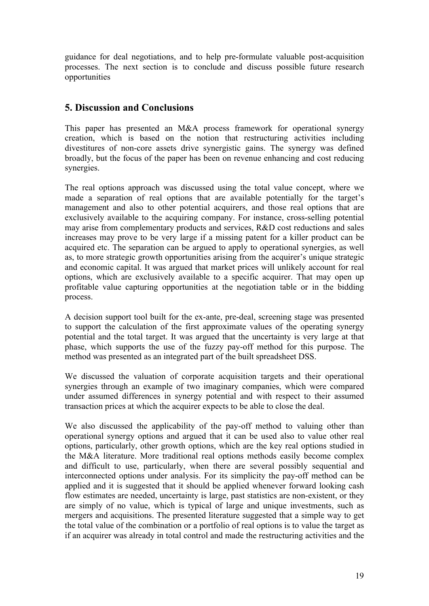guidance for deal negotiations, and to help pre-formulate valuable post-acquisition processes. The next section is to conclude and discuss possible future research opportunities

## **5. Discussion and Conclusions**

This paper has presented an M&A process framework for operational synergy creation, which is based on the notion that restructuring activities including divestitures of non-core assets drive synergistic gains. The synergy was defined broadly, but the focus of the paper has been on revenue enhancing and cost reducing synergies.

The real options approach was discussed using the total value concept, where we made a separation of real options that are available potentially for the target's management and also to other potential acquirers, and those real options that are exclusively available to the acquiring company. For instance, cross-selling potential may arise from complementary products and services, R&D cost reductions and sales increases may prove to be very large if a missing patent for a killer product can be acquired etc. The separation can be argued to apply to operational synergies, as well as, to more strategic growth opportunities arising from the acquirer's unique strategic and economic capital. It was argued that market prices will unlikely account for real options, which are exclusively available to a specific acquirer. That may open up profitable value capturing opportunities at the negotiation table or in the bidding process.

A decision support tool built for the ex-ante, pre-deal, screening stage was presented to support the calculation of the first approximate values of the operating synergy potential and the total target. It was argued that the uncertainty is very large at that phase, which supports the use of the fuzzy pay-off method for this purpose. The method was presented as an integrated part of the built spreadsheet DSS.

We discussed the valuation of corporate acquisition targets and their operational synergies through an example of two imaginary companies, which were compared under assumed differences in synergy potential and with respect to their assumed transaction prices at which the acquirer expects to be able to close the deal.

We also discussed the applicability of the pay-off method to valuing other than operational synergy options and argued that it can be used also to value other real options, particularly, other growth options, which are the key real options studied in the M&A literature. More traditional real options methods easily become complex and difficult to use, particularly, when there are several possibly sequential and interconnected options under analysis. For its simplicity the pay-off method can be applied and it is suggested that it should be applied whenever forward looking cash flow estimates are needed, uncertainty is large, past statistics are non-existent, or they are simply of no value, which is typical of large and unique investments, such as mergers and acquisitions. The presented literature suggested that a simple way to get the total value of the combination or a portfolio of real options is to value the target as if an acquirer was already in total control and made the restructuring activities and the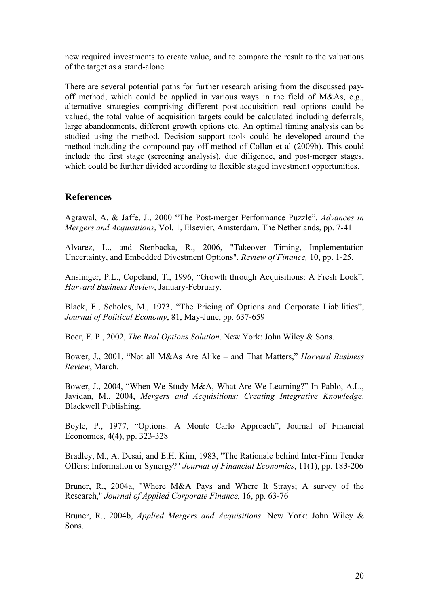new required investments to create value, and to compare the result to the valuations of the target as a stand-alone.

There are several potential paths for further research arising from the discussed payoff method, which could be applied in various ways in the field of M&As, e.g., alternative strategies comprising different post-acquisition real options could be valued, the total value of acquisition targets could be calculated including deferrals, large abandonments, different growth options etc. An optimal timing analysis can be studied using the method. Decision support tools could be developed around the method including the compound pay-off method of Collan et al (2009b). This could include the first stage (screening analysis), due diligence, and post-merger stages, which could be further divided according to flexible staged investment opportunities.

#### **References**

Agrawal, A. & Jaffe, J., 2000 "The Post-merger Performance Puzzle". *Advances in Mergers and Acquisitions*, Vol. 1, Elsevier, Amsterdam, The Netherlands, pp. 7-41

Alvarez, L., and Stenbacka, R., 2006, "Takeover Timing, Implementation Uncertainty, and Embedded Divestment Options". *Review of Finance,* 10, pp. 1-25.

Anslinger, P.L., Copeland, T., 1996, "Growth through Acquisitions: A Fresh Look", *Harvard Business Review*, January-February.

Black, F., Scholes, M., 1973, "The Pricing of Options and Corporate Liabilities", *Journal of Political Economy*, 81, May-June, pp. 637-659

Boer, F. P., 2002, *The Real Options Solution*. New York: John Wiley & Sons.

Bower, J., 2001, "Not all M&As Are Alike – and That Matters," *Harvard Business Review*, March.

Bower, J., 2004, "When We Study M&A, What Are We Learning?" In Pablo, A.L., Javidan, M., 2004, *Mergers and Acquisitions: Creating Integrative Knowledge*. Blackwell Publishing.

Boyle, P., 1977, "Options: A Monte Carlo Approach", Journal of Financial Economics, 4(4), pp. 323-328

Bradley, M., A. Desai, and E.H. Kim, 1983, "The Rationale behind Inter-Firm Tender Offers: Information or Synergy?" *Journal of Financial Economics*, 11(1), pp. 183-206

Bruner, R., 2004a, "Where M&A Pays and Where It Strays; A survey of the Research," *Journal of Applied Corporate Finance,* 16, pp. 63-76

Bruner, R., 2004b, *Applied Mergers and Acquisitions*. New York: John Wiley & Sons.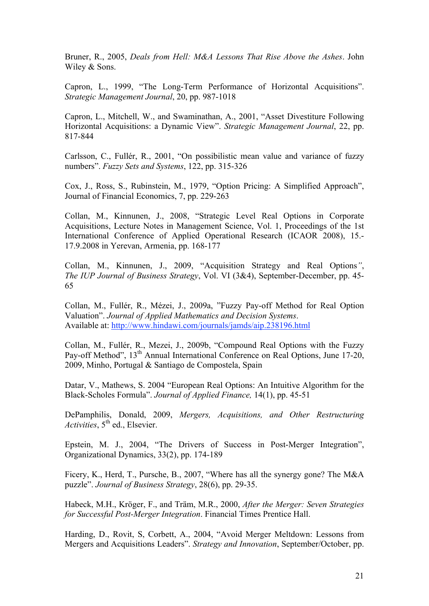Bruner, R., 2005, *Deals from Hell: M&A Lessons That Rise Above the Ashes*. John Wiley & Sons.

Capron, L., 1999, "The Long-Term Performance of Horizontal Acquisitions". *Strategic Management Journal*, 20, pp. 987-1018

Capron, L., Mitchell, W., and Swaminathan, A., 2001, "Asset Divestiture Following Horizontal Acquisitions: a Dynamic View". *Strategic Management Journal*, 22, pp. 817-844

Carlsson, C., Fullér, R., 2001, "On possibilistic mean value and variance of fuzzy numbers". *Fuzzy Sets and Systems*, 122, pp. 315-326

Cox, J., Ross, S., Rubinstein, M., 1979, "Option Pricing: A Simplified Approach", Journal of Financial Economics, 7, pp. 229-263

Collan, M., Kinnunen, J., 2008, "Strategic Level Real Options in Corporate Acquisitions, Lecture Notes in Management Science, Vol. 1, Proceedings of the 1st International Conference of Applied Operational Research (ICAOR 2008), 15.- 17.9.2008 in Yerevan, Armenia, pp. 168-177

Collan, M., Kinnunen, J., 2009, "Acquisition Strategy and Real Options*"*, *The IUP Journal of Business Strategy*, Vol. VI (3&4), September-December, pp. 45- 65

Collan, M., Fullér, R., Mézei, J., 2009a, "Fuzzy Pay-off Method for Real Option Valuation". *Journal of Applied Mathematics and Decision Systems*. Available at: http://www.hindawi.com/journals/jamds/aip.238196.html

Collan, M., Fullér, R., Mezei, J., 2009b, "Compound Real Options with the Fuzzy Pay-off Method", 13<sup>th</sup> Annual International Conference on Real Options, June 17-20, 2009, Minho, Portugal & Santiago de Compostela, Spain

Datar, V., Mathews, S. 2004 "European Real Options: An Intuitive Algorithm for the Black-Scholes Formula". *Journal of Applied Finance,* 14(1), pp. 45-51

DePamphilis, Donald, 2009, *Mergers, Acquisitions, and Other Restructuring Activities*, 5<sup>th</sup> ed., Elsevier.

Epstein, M. J., 2004, "The Drivers of Success in Post-Merger Integration", Organizational Dynamics, 33(2), pp. 174-189

Ficery, K., Herd, T., Pursche, B., 2007, "Where has all the synergy gone? The M&A puzzle". *Journal of Business Strategy*, 28(6), pp. 29-35.

Habeck, M.H., Kröger, F., and Träm, M.R., 2000, *After the Merger: Seven Strategies for Successful Post-Merger Integration*. Financial Times Prentice Hall.

Harding, D., Rovit, S, Corbett, A., 2004, "Avoid Merger Meltdown: Lessons from Mergers and Acquisitions Leaders". *Strategy and Innovation*, September/October, pp.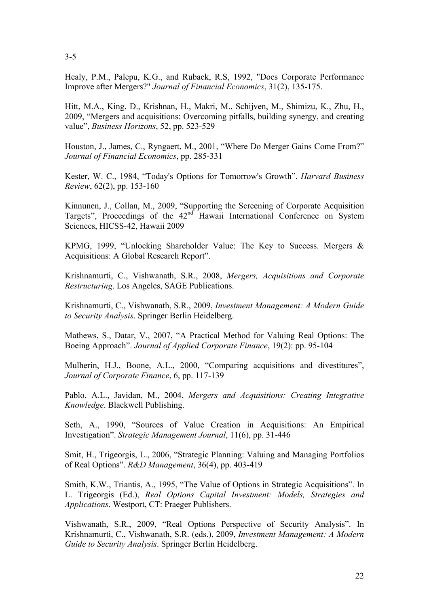Healy, P.M., Palepu, K.G., and Ruback, R.S, 1992, "Does Corporate Performance Improve after Mergers?" *Journal of Financial Economics*, 31(2), 135-175.

Hitt, M.A., King, D., Krishnan, H., Makri, M., Schijven, M., Shimizu, K., Zhu, H., 2009, "Mergers and acquisitions: Overcoming pitfalls, building synergy, and creating value", *Business Horizons*, 52, pp. 523-529

Houston, J., James, C., Ryngaert, M., 2001, "Where Do Merger Gains Come From?" *Journal of Financial Economics*, pp. 285-331

Kester, W. C., 1984, "Today's Options for Tomorrow's Growth". *Harvard Business Review*, 62(2), pp. 153-160

Kinnunen, J., Collan, M., 2009, "Supporting the Screening of Corporate Acquisition Targets", Proceedings of the  $42<sup>nd</sup>$  Hawaii International Conference on System Sciences, HICSS-42, Hawaii 2009

KPMG, 1999, "Unlocking Shareholder Value: The Key to Success. Mergers & Acquisitions: A Global Research Report".

Krishnamurti, C., Vishwanath, S.R., 2008, *Mergers, Acquisitions and Corporate Restructuring*. Los Angeles, SAGE Publications.

Krishnamurti, C., Vishwanath, S.R., 2009, *Investment Management: A Modern Guide to Security Analysis*. Springer Berlin Heidelberg.

Mathews, S., Datar, V., 2007, "A Practical Method for Valuing Real Options: The Boeing Approach". *Journal of Applied Corporate Finance*, 19(2): pp. 95-104

Mulherin, H.J., Boone, A.L., 2000, "Comparing acquisitions and divestitures", *Journal of Corporate Finance*, 6, pp. 117-139

Pablo, A.L., Javidan, M., 2004, *Mergers and Acquisitions: Creating Integrative Knowledge*. Blackwell Publishing.

Seth, A., 1990, "Sources of Value Creation in Acquisitions: An Empirical Investigation". *Strategic Management Journal*, 11(6), pp. 31-446

Smit, H., Trigeorgis, L., 2006, "Strategic Planning: Valuing and Managing Portfolios of Real Options". *R&D Management*, 36(4), pp. 403-419

Smith, K.W., Triantis, A., 1995, "The Value of Options in Strategic Acquisitions". In L. Trigeorgis (Ed.), *Real Options Capital Investment: Models, Strategies and Applications*. Westport, CT: Praeger Publishers.

Vishwanath, S.R., 2009, "Real Options Perspective of Security Analysis". In Krishnamurti, C., Vishwanath, S.R. (eds.), 2009, *Investment Management: A Modern Guide to Security Analysis*. Springer Berlin Heidelberg.